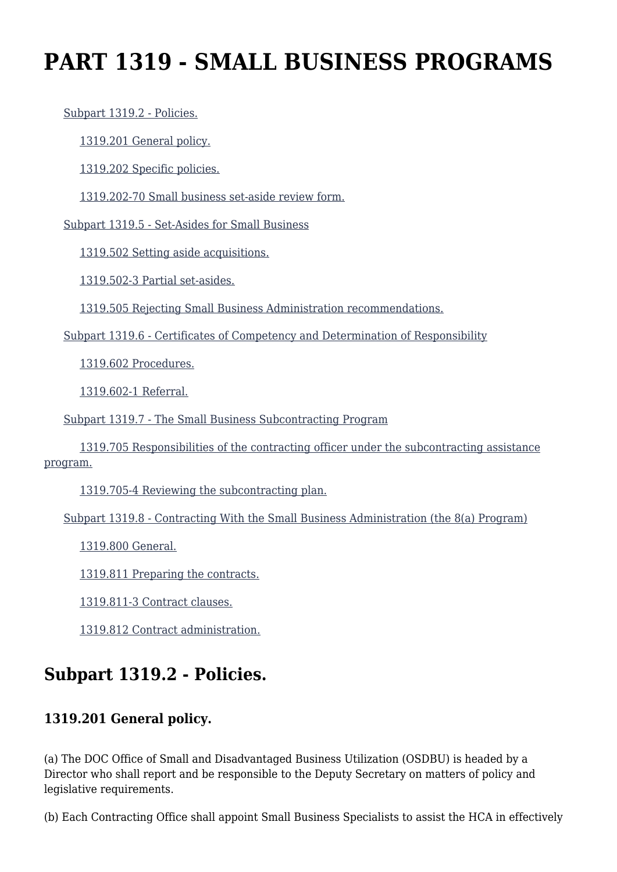# **PART 1319 - SMALL BUSINESS PROGRAMS**

[Subpart 1319.2 - Policies.](https://login.acquisition.gov/%5Brp:link:car-part-1319%5D#Subpart_1319_2_T48_50646191)

[1319.201 General policy.](https://login.acquisition.gov/%5Brp:link:car-part-1319%5D#Section_1319_201_T48_5064619111)

[1319.202 Specific policies.](https://login.acquisition.gov/%5Brp:link:car-part-1319%5D#Section_1319_202_T48_5064619112)

[1319.202-70 Small business set-aside review form.](https://login.acquisition.gov/%5Brp:link:car-part-1319%5D#Section_1319_202_70_T48_5064619113)

[Subpart 1319.5 - Set-Asides for Small Business](https://login.acquisition.gov/%5Brp:link:car-part-1319%5D#Subpart_1319_5_T48_50646192)

[1319.502 Setting aside acquisitions.](https://login.acquisition.gov/%5Brp:link:car-part-1319%5D#Section_1319_502_T48_5064619211)

[1319.502-3 Partial set-asides.](https://login.acquisition.gov/%5Brp:link:car-part-1319%5D#Section_1319_502_3_T48_5064619212)

[1319.505 Rejecting Small Business Administration recommendations.](https://login.acquisition.gov/%5Brp:link:car-part-1319%5D#Section_1319_505_T48_5064619213)

[Subpart 1319.6 - Certificates of Competency and Determination of Responsibility](https://login.acquisition.gov/%5Brp:link:car-part-1319%5D#Subpart_1319_6_T48_50646193)

[1319.602 Procedures.](https://login.acquisition.gov/%5Brp:link:car-part-1319%5D#Section_1319_602_T48_5064619311)

[1319.602-1 Referral.](https://login.acquisition.gov/%5Brp:link:car-part-1319%5D#Section_1319_602_1_T48_5064619312)

[Subpart 1319.7 - The Small Business Subcontracting Program](https://login.acquisition.gov/%5Brp:link:car-part-1319%5D#Subpart_1319_7_T48_50646194)

 [1319.705 Responsibilities of the contracting officer under the subcontracting assistance](https://login.acquisition.gov/%5Brp:link:car-part-1319%5D#Section_1319_705_T48_5064619411) [program.](https://login.acquisition.gov/%5Brp:link:car-part-1319%5D#Section_1319_705_T48_5064619411)

[1319.705-4 Reviewing the subcontracting plan.](https://login.acquisition.gov/%5Brp:link:car-part-1319%5D#Section_1319_705_4_T48_5064619412)

[Subpart 1319.8 - Contracting With the Small Business Administration \(the 8\(a\) Program\)](https://login.acquisition.gov/%5Brp:link:car-part-1319%5D#Subpart_1319_8_T48_50646195)

[1319.800 General.](https://login.acquisition.gov/%5Brp:link:car-part-1319%5D#Section_1319_800_T48_5064619511)

[1319.811 Preparing the contracts.](https://login.acquisition.gov/%5Brp:link:car-part-1319%5D#Section_1319_811_T48_5064619512)

[1319.811-3 Contract clauses.](https://login.acquisition.gov/%5Brp:link:car-part-1319%5D#Section_1319_811_3_T48_5064619513)

[1319.812 Contract administration.](https://login.acquisition.gov/%5Brp:link:car-part-1319%5D#Section_1319_812_T48_5064619514)

# **Subpart 1319.2 - Policies.**

#### **1319.201 General policy.**

(a) The DOC Office of Small and Disadvantaged Business Utilization (OSDBU) is headed by a Director who shall report and be responsible to the Deputy Secretary on matters of policy and legislative requirements.

(b) Each Contracting Office shall appoint Small Business Specialists to assist the HCA in effectively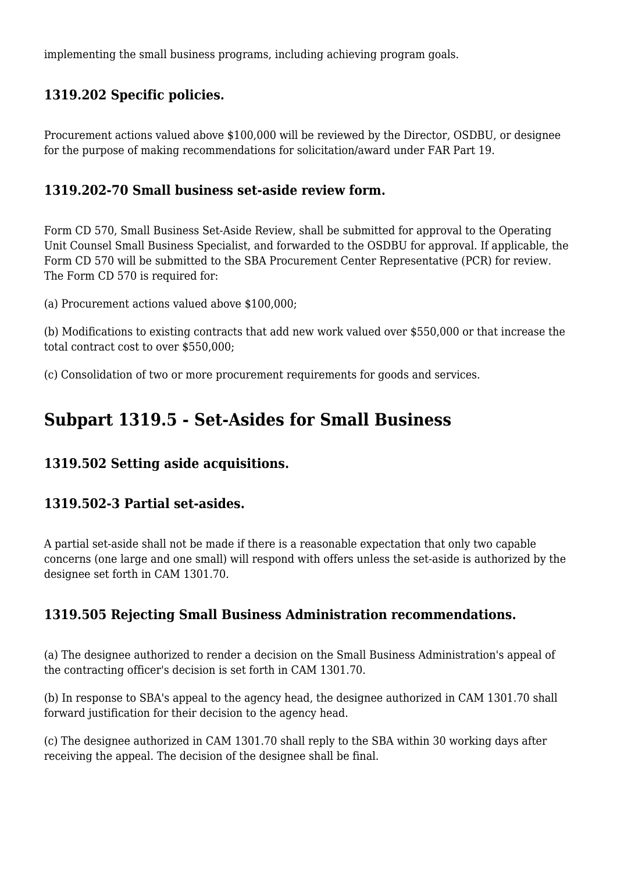implementing the small business programs, including achieving program goals.

#### **1319.202 Specific policies.**

Procurement actions valued above \$100,000 will be reviewed by the Director, OSDBU, or designee for the purpose of making recommendations for solicitation/award under FAR Part 19.

#### **1319.202-70 Small business set-aside review form.**

Form CD 570, Small Business Set-Aside Review, shall be submitted for approval to the Operating Unit Counsel Small Business Specialist, and forwarded to the OSDBU for approval. If applicable, the Form CD 570 will be submitted to the SBA Procurement Center Representative (PCR) for review. The Form CD 570 is required for:

(a) Procurement actions valued above \$100,000;

(b) Modifications to existing contracts that add new work valued over \$550,000 or that increase the total contract cost to over \$550,000;

(c) Consolidation of two or more procurement requirements for goods and services.

### **Subpart 1319.5 - Set-Asides for Small Business**

#### **1319.502 Setting aside acquisitions.**

#### **1319.502-3 Partial set-asides.**

A partial set-aside shall not be made if there is a reasonable expectation that only two capable concerns (one large and one small) will respond with offers unless the set-aside is authorized by the designee set forth in CAM 1301.70.

#### **1319.505 Rejecting Small Business Administration recommendations.**

(a) The designee authorized to render a decision on the Small Business Administration's appeal of the contracting officer's decision is set forth in CAM 1301.70.

(b) In response to SBA's appeal to the agency head, the designee authorized in CAM 1301.70 shall forward justification for their decision to the agency head.

(c) The designee authorized in CAM 1301.70 shall reply to the SBA within 30 working days after receiving the appeal. The decision of the designee shall be final.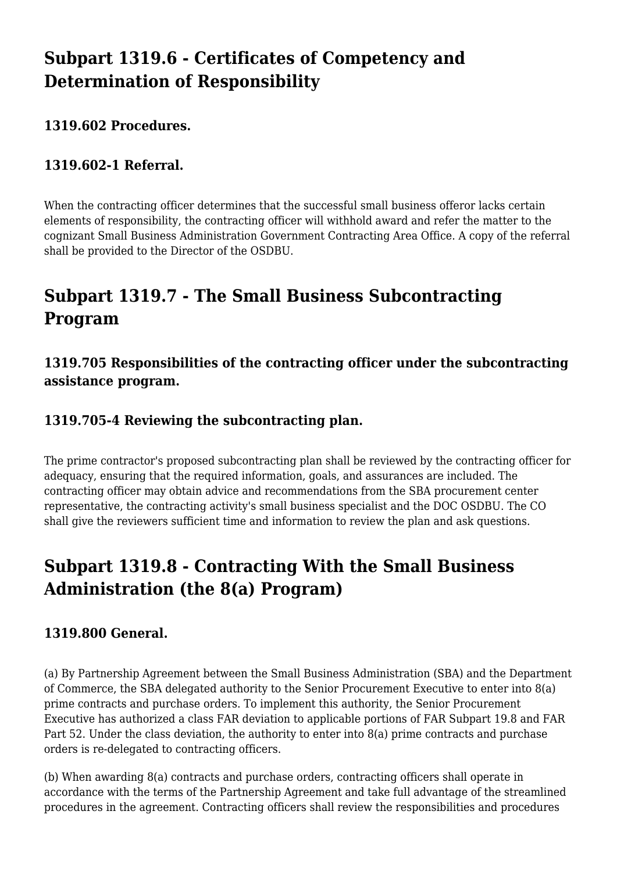## **Subpart 1319.6 - Certificates of Competency and Determination of Responsibility**

#### **1319.602 Procedures.**

#### **1319.602-1 Referral.**

When the contracting officer determines that the successful small business offeror lacks certain elements of responsibility, the contracting officer will withhold award and refer the matter to the cognizant Small Business Administration Government Contracting Area Office. A copy of the referral shall be provided to the Director of the OSDBU.

# **Subpart 1319.7 - The Small Business Subcontracting Program**

#### **1319.705 Responsibilities of the contracting officer under the subcontracting assistance program.**

#### **1319.705-4 Reviewing the subcontracting plan.**

The prime contractor's proposed subcontracting plan shall be reviewed by the contracting officer for adequacy, ensuring that the required information, goals, and assurances are included. The contracting officer may obtain advice and recommendations from the SBA procurement center representative, the contracting activity's small business specialist and the DOC OSDBU. The CO shall give the reviewers sufficient time and information to review the plan and ask questions.

## **Subpart 1319.8 - Contracting With the Small Business Administration (the 8(a) Program)**

#### **1319.800 General.**

(a) By Partnership Agreement between the Small Business Administration (SBA) and the Department of Commerce, the SBA delegated authority to the Senior Procurement Executive to enter into 8(a) prime contracts and purchase orders. To implement this authority, the Senior Procurement Executive has authorized a class FAR deviation to applicable portions of FAR Subpart 19.8 and FAR Part 52. Under the class deviation, the authority to enter into 8(a) prime contracts and purchase orders is re-delegated to contracting officers.

(b) When awarding 8(a) contracts and purchase orders, contracting officers shall operate in accordance with the terms of the Partnership Agreement and take full advantage of the streamlined procedures in the agreement. Contracting officers shall review the responsibilities and procedures